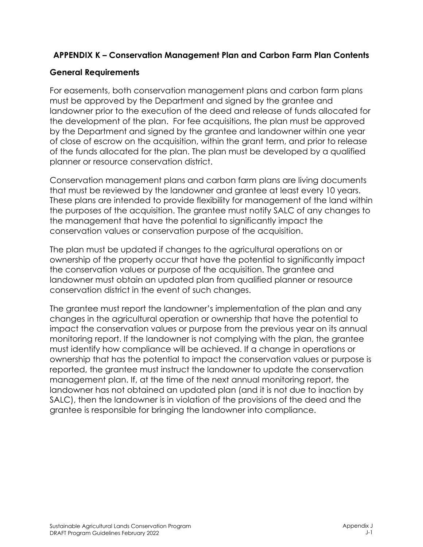## **APPENDIX K – Conservation Management Plan and Carbon Farm Plan Contents**

## **General Requirements**

For easements, both conservation management plans and carbon farm plans must be approved by the Department and signed by the grantee and landowner prior to the execution of the deed and release of funds allocated for the development of the plan. For fee acquisitions, the plan must be approved by the Department and signed by the grantee and landowner within one year of close of escrow on the acquisition, within the grant term, and prior to release of the funds allocated for the plan. The plan must be developed by a qualified planner or resource conservation district.

Conservation management plans and carbon farm plans are living documents that must be reviewed by the landowner and grantee at least every 10 years. These plans are intended to provide flexibility for management of the land within the purposes of the acquisition. The grantee must notify SALC of any changes to the management that have the potential to significantly impact the conservation values or conservation purpose of the acquisition.

The plan must be updated if changes to the agricultural operations on or ownership of the property occur that have the potential to significantly impact the conservation values or purpose of the acquisition. The grantee and landowner must obtain an updated plan from qualified planner or resource conservation district in the event of such changes.

The grantee must report the landowner's implementation of the plan and any changes in the agricultural operation or ownership that have the potential to impact the conservation values or purpose from the previous year on its annual monitoring report. If the landowner is not complying with the plan, the grantee must identify how compliance will be achieved. If a change in operations or ownership that has the potential to impact the conservation values or purpose is reported, the grantee must instruct the landowner to update the conservation management plan. If, at the time of the next annual monitoring report, the landowner has not obtained an updated plan (and it is not due to inaction by SALC), then the landowner is in violation of the provisions of the deed and the grantee is responsible for bringing the landowner into compliance.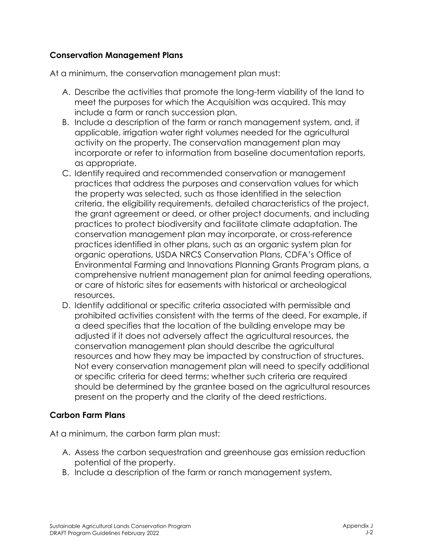## **Conservation Management Plans**

At a minimum, the conservation management plan must:

- A. Describe the activities that promote the long-term viability of the land to meet the purposes for which the Acquisition was acquired. This may include a farm or ranch succession plan.
- B. Include a description of the farm or ranch management system, and, if applicable, irrigation water right volumes needed for the agricultural activity on the property. The conservation management plan may incorporate or refer to information from baseline documentation reports, as appropriate.
- C. Identify required and recommended conservation or management practices that address the purposes and conservation values for which the property was selected, such as those identified in the selection criteria, the eligibility requirements, detailed characteristics of the project, the grant agreement or deed, or other project documents, and including practices to protect biodiversity and facilitate climate adaptation. The conservation management plan may incorporate, or cross-reference practices identified in other plans, such as an organic system plan for organic operations, USDA NRCS Conservation Plans, CDFA's Office of Environmental Farming and Innovations Planning Grants Program plans, a comprehensive nutrient management plan for animal feeding operations, or care of historic sites for easements with historical or archeological resources.
- D. Identify additional or specific criteria associated with permissible and prohibited activities consistent with the terms of the deed. For example, if a deed specifies that the location of the building envelope may be adjusted if it does not adversely affect the agricultural resources, the conservation management plan should describe the agricultural resources and how they may be impacted by construction of structures. Not every conservation management plan will need to specify additional or specific criteria for deed terms; whether such criteria are required should be determined by the grantee based on the agricultural resources present on the property and the clarity of the deed restrictions.

## **Carbon Farm Plans**

At a minimum, the carbon farm plan must:

- A. Assess the carbon sequestration and greenhouse gas emission reduction potential of the property.
- B. Include a description of the farm or ranch management system.